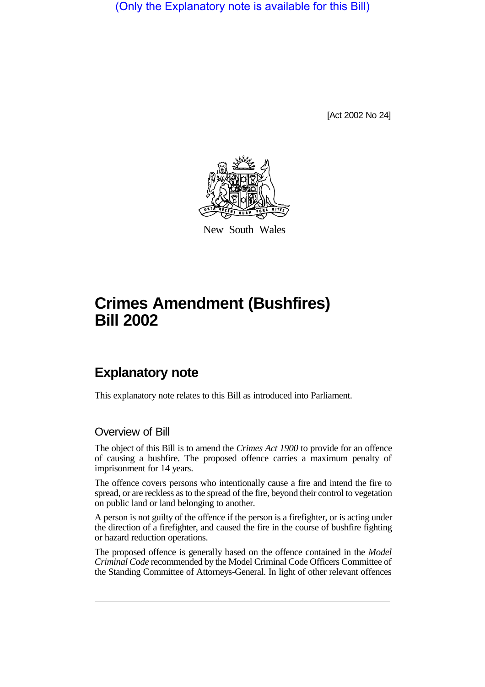(Only the Explanatory note is available for this Bill)

[Act 2002 No 24]



New South Wales

## **Crimes Amendment (Bushfires) Bill 2002**

## **Explanatory note**

This explanatory note relates to this Bill as introduced into Parliament.

## Overview of Bill

The object of this Bill is to amend the *Crimes Act 1900* to provide for an offence of causing a bushfire. The proposed offence carries a maximum penalty of imprisonment for 14 years.

The offence covers persons who intentionally cause a fire and intend the fire to spread, or are reckless as to the spread of the fire, beyond their control to vegetation on public land or land belonging to another.

A person is not guilty of the offence if the person is a firefighter, or is acting under the direction of a firefighter, and caused the fire in the course of bushfire fighting or hazard reduction operations.

The proposed offence is generally based on the offence contained in the *Model Criminal Code* recommended by the Model Criminal Code Officers Committee of the Standing Committee of Attorneys-General. In light of other relevant offences